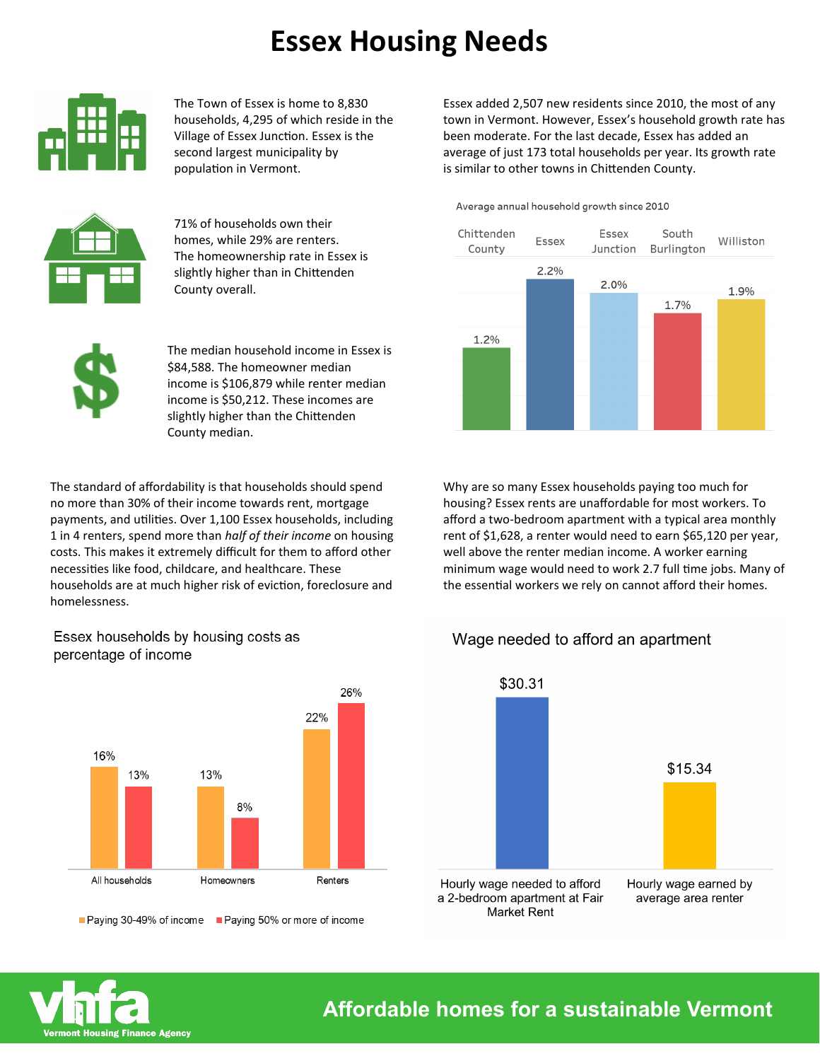## **Essex Housing Needs**



The Town of Essex is home to 8,830 households, 4,295 of which reside in the Village of Essex Junction. Essex is the second largest municipality by population in Vermont.



71% of households own their homes, while 29% are renters. The homeownership rate in Essex is slightly higher than in Chittenden County overall.

The median household income in Essex is \$84,588. The homeowner median income is \$106,879 while renter median income is \$50,212. These incomes are slightly higher than the Chittenden County median.

The standard of affordability is that households should spend no more than 30% of their income towards rent, mortgage payments, and utilities. Over 1,100 Essex households, including 1 in 4 renters, spend more than *half of their income* on housing costs. This makes it extremely difficult for them to afford other necessities like food, childcare, and healthcare. These households are at much higher risk of eviction, foreclosure and homelessness.

Essex households by housing costs as percentage of income



■ Paying 30-49% of income ■ Paying 50% or more of income

Essex added 2,507 new residents since 2010, the most of any town in Vermont. However, Essex's household growth rate has been moderate. For the last decade, Essex has added an average of just 173 total households per year. Its growth rate is similar to other towns in Chittenden County.

Average annual household growth since 2010



Why are so many Essex households paying too much for housing? Essex rents are unaffordable for most workers. To afford a two-bedroom apartment with a typical area monthly rent of \$1,628, a renter would need to earn \$65,120 per year, well above the renter median income. A worker earning minimum wage would need to work 2.7 full time jobs. Many of the essential workers we rely on cannot afford their homes.

## Wage needed to afford an apartment





**Affordable homes for a sustainable Vermont**